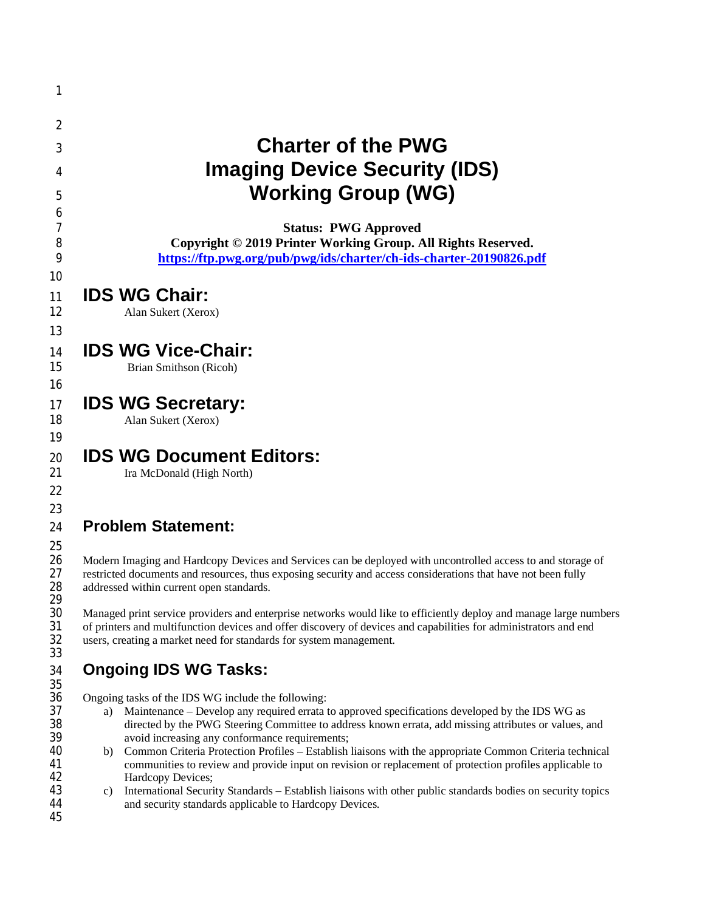| 1                          |                                                                                                                                                                                                                                                                                                                        |
|----------------------------|------------------------------------------------------------------------------------------------------------------------------------------------------------------------------------------------------------------------------------------------------------------------------------------------------------------------|
| 2                          |                                                                                                                                                                                                                                                                                                                        |
| 3                          | <b>Charter of the PWG</b>                                                                                                                                                                                                                                                                                              |
| 4                          | <b>Imaging Device Security (IDS)</b>                                                                                                                                                                                                                                                                                   |
|                            | <b>Working Group (WG)</b>                                                                                                                                                                                                                                                                                              |
| 5<br>6                     |                                                                                                                                                                                                                                                                                                                        |
| 7<br>8                     | <b>Status: PWG Approved</b><br>Copyright © 2019 Printer Working Group. All Rights Reserved.                                                                                                                                                                                                                            |
| 9<br>10                    | https://ftp.pwg.org/pub/pwg/ids/charter/ch-ids-charter-20190826.pdf                                                                                                                                                                                                                                                    |
| 11<br>12<br>13             | <b>IDS WG Chair:</b><br>Alan Sukert (Xerox)                                                                                                                                                                                                                                                                            |
| 14<br>15<br>16             | <b>IDS WG Vice-Chair:</b><br>Brian Smithson (Ricoh)                                                                                                                                                                                                                                                                    |
| 17<br>18                   | <b>IDS WG Secretary:</b><br>Alan Sukert (Xerox)                                                                                                                                                                                                                                                                        |
| 19<br>20<br>21<br>22<br>23 | <b>IDS WG Document Editors:</b><br>Ira McDonald (High North)                                                                                                                                                                                                                                                           |
| 24                         | <b>Problem Statement:</b>                                                                                                                                                                                                                                                                                              |
| 25<br>26<br>27<br>28<br>29 | Modern Imaging and Hardcopy Devices and Services can be deployed with uncontrolled access to and storage of<br>restricted documents and resources, thus exposing security and access considerations that have not been fully<br>addressed within current open standards.                                               |
| 30<br>31<br>32<br>33       | Managed print service providers and enterprise networks would like to efficiently deploy and manage large numbers<br>of printers and multifunction devices and offer discovery of devices and capabilities for administrators and end<br>users, creating a market need for standards for system management.            |
| 34                         | <b>Ongoing IDS WG Tasks:</b>                                                                                                                                                                                                                                                                                           |
| 35<br>36<br>37<br>38<br>39 | Ongoing tasks of the IDS WG include the following:<br>Maintenance – Develop any required errata to approved specifications developed by the IDS WG as<br>a)<br>directed by the PWG Steering Committee to address known errata, add missing attributes or values, and<br>avoid increasing any conformance requirements; |
| 40<br>41<br>42             | Common Criteria Protection Profiles – Establish liaisons with the appropriate Common Criteria technical<br>b)<br>communities to review and provide input on revision or replacement of protection profiles applicable to<br>Hardcopy Devices;                                                                          |
| 43<br>44<br>45             | International Security Standards - Establish liaisons with other public standards bodies on security topics<br>C)<br>and security standards applicable to Hardcopy Devices.                                                                                                                                            |